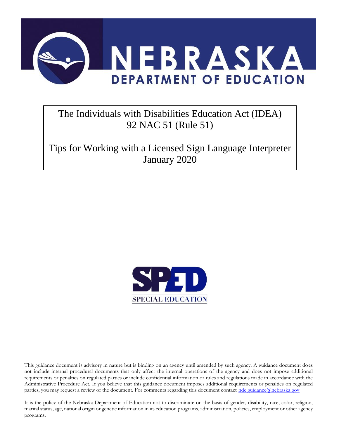

## The Individuals with Disabilities Education Act (IDEA) 92 NAC 51 (Rule 51)

Tips for Working with a Licensed Sign Language Interpreter January 2020



This guidance document is advisory in nature but is binding on an agency until amended by such agency. A guidance document does not include internal procedural documents that only affect the internal operations of the agency and does not impose additional requirements or penalties on regulated parties or include confidential information or rules and regulations made in accordance with the Administrative Procedure Act. If you believe that this guidance document imposes additional requirements or penalties on regulated parties, you may request a review of the document. For comments regarding this document contact [nde.guidance@nebraska.gov](mailto:nde.guidance@nebraska.gov)

It is the policy of the Nebraska Department of Education not to discriminate on the basis of gender, disability, race, color, religion, marital status, age, national origin or genetic information in its education programs, administration, policies, employment or other agency programs.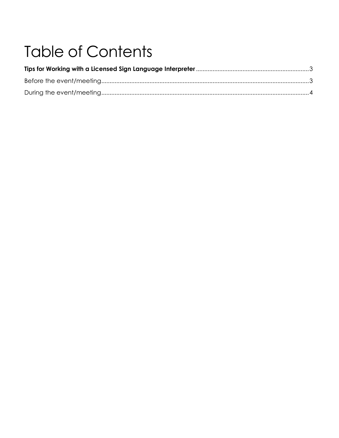# **Table of Contents**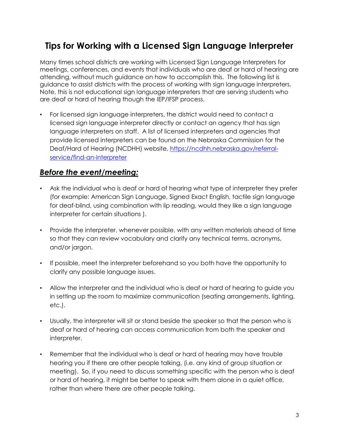## **Tips for Working with a Licensed Sign Language Interpreter**

Many times school districts are working with Licensed Sign Language Interpreters for meetings, conferences, and events that individuals who are deaf or hard of hearing are attending, without much guidance on how to accomplish this. The following list is guidance to assist districts with the process of working with sign language interpreters. Note, this is not educational sign language interpreters that are serving students who are deaf or hard of hearing though the IEP/IFSP process.

• For licensed sign language interpreters, the district would need to contact a licensed sign language interpreter directly or contact an agency that has sign language interpreters on staff. A list of licensed interpreters and agencies that provide licensed interpreters can be found on the Nebraska Commission for the Deaf/Hard of Hearing (NCDHH) website, [https://ncdhh.nebraska.gov/referral](https://ncdhh.nebraska.gov/referral-service/find-an-interpreter)[service/find-an-interpreter](https://ncdhh.nebraska.gov/referral-service/find-an-interpreter) 

#### *Before the event/meeting:*

- Ask the individual who is deaf or hard of hearing what type of interpreter they prefer (for example: American Sign Language, Signed Exact English, tactile sign language for deaf-blind, using combination with lip reading, would they like a sign language interpreter for certain situations ).
- Provide the interpreter, whenever possible, with any written materials ahead of time so that they can review vocabulary and clarify any technical terms, acronyms, and/or jargon.
- If possible, meet the interpreter beforehand so you both have the opportunity to clarify any possible language issues.
- Allow the interpreter and the individual who is deaf or hard of hearing to guide you in setting up the room to maximize communication (seating arrangements, lighting, etc.).
- Usually, the interpreter will sit or stand beside the speaker so that the person who is deaf or hard of hearing can access communication from both the speaker and interpreter.
- Remember that the individual who is deaf or hard of hearing may have trouble hearing you if there are other people talking, (i.e. any kind of group situation or meeting). So, if you need to discuss something specific with the person who is deaf or hard of hearing, it might be better to speak with them alone in a quiet office, rather than where there are other people talking.